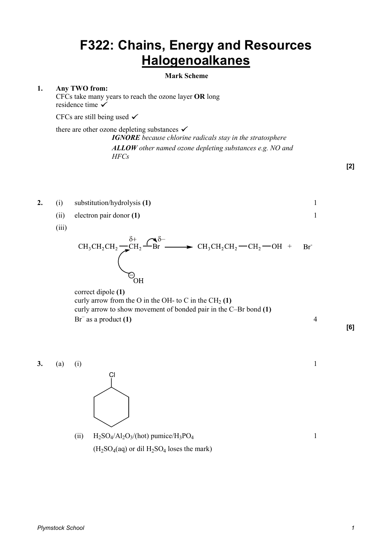## **F322: Chains, Energy and Resources Halogenoalkanes**

## **Mark Scheme**

## **1. Any TWO from:**

CFCs take many years to reach the ozone layer **OR** long residence time  $\checkmark$ 

CFCs are still being used  $\checkmark$ 

there are other ozone depleting substances  $\checkmark$ 

*IGNORE because chlorine radicals stay in the stratosphere ALLOW other named ozone depleting substances e.g. NO and HFCs*

- **[2]**
- **2.** (i) substitution/hydrolysis **(1)** 1
	- (ii) electron pair donor **(1)** 1
	- (iii)



 correct dipole **(1)** curly arrow from the O in the OH- to C in the  $CH_2(1)$ curly arrow to show movement of bonded pair in the C–Br bond **(1)**   $\text{Br}^-$  as a product (1)  $\qquad \qquad \qquad 4$ 

**[6]** 





(ii)  $H_2SO_4/Al_2O_3/(\text{hot})$  pumice/ $H_3PO_4$  $\frac{1}{1}$  $(H<sub>2</sub>SO<sub>4</sub>(aq)$  or dil  $H<sub>2</sub>SO<sub>4</sub>$  loses the mark)

*Plymstock School 1*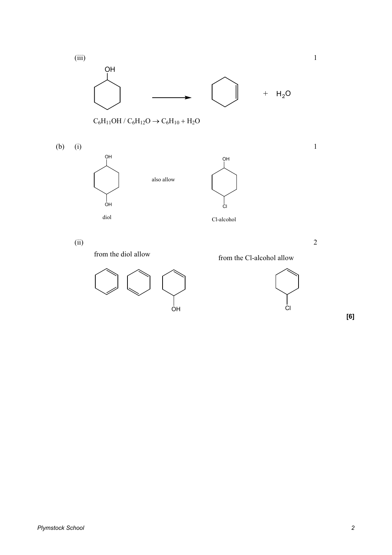



Cl

**[6]**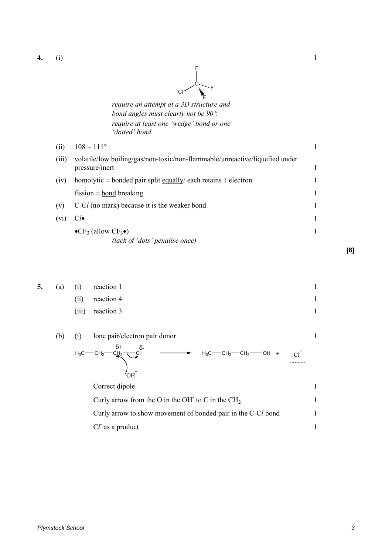**4.** (i) 1



*require an attempt at a 3D structure and bond angles must clearly not be 90*°*. require at least one 'wedge' bond or one 'dotted' bond* 

| (ii)    | $108 - 111^{\circ}$                                                                            |  |
|---------|------------------------------------------------------------------------------------------------|--|
| (iii)   | volatile/low boiling/gas/non-toxic/non-flammable/unreactive/liquefied under<br>pressure/inert  |  |
| (iv)    | homolytic = bonded pair split $\frac{equally}{each}$ retains 1 electron                        |  |
|         | $fission = bond breaking$                                                                      |  |
| (v)     | C-Cl (no mark) because it is the weaker bond                                                   |  |
| $(v_1)$ | $Cl\bullet$                                                                                    |  |
|         | $\bullet$ CF <sub>3</sub> (allow CF <sub>3</sub> $\bullet$ )<br>(lack of 'dots' penalise once) |  |

| 5. | (a) | $\rm(i)$                                                     | reaction 1                                                                                           |   |
|----|-----|--------------------------------------------------------------|------------------------------------------------------------------------------------------------------|---|
|    |     | (ii)                                                         | reaction 4                                                                                           | 1 |
|    |     | (iii)                                                        | reaction 3                                                                                           |   |
|    | (b) | (i)                                                          | lone pair/electron pair donor                                                                        |   |
|    |     | $H_3C^-$                                                     | δ+<br>-CH <sub>2</sub> -CI<br>$H_3C$ — $CH_2$ — $CH_2$ — $OH +$<br>$-$ CH <sub>2</sub> -<br>C1<br>OН |   |
|    |     |                                                              | Correct dipole                                                                                       |   |
|    |     |                                                              | Curly arrow from the O in the OH to C in the $CH2$                                                   |   |
|    |     | Curly arrow to show movement of bonded pair in the C-Cl bond |                                                                                                      |   |
|    |     |                                                              | Cl as a product                                                                                      |   |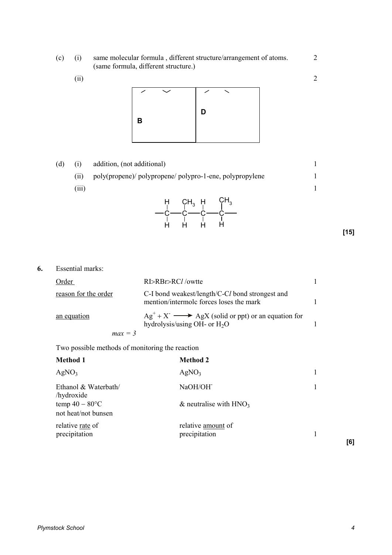- (c) (i) same molecular formula , different structure/arrangement of atoms. 2 (same formula, different structure.)
	- $(i)$  2



| (d) |       | addition, (not additional)                               |      |
|-----|-------|----------------------------------------------------------|------|
|     | (i)   | poly(propene)/ polypropene/ polypro-1-ene, polypropylene |      |
|     | (iii) |                                                          |      |
|     |       | $H$ CH <sub>3</sub> H CH <sub>3</sub><br>H<br>н          | [15] |

**6.** Essential marks:

| Order                | RI>RBr>RCl/owtte                                                                           |  |
|----------------------|--------------------------------------------------------------------------------------------|--|
| reason for the order | C-I bond weakest/length/C-Cl bond strongest and<br>mention/intermolc forces loses the mark |  |
| an equation          | $Ag+ + X-$ AgX (solid or ppt) or an equation for<br>hydrolysis/using OH- or $H_2O$         |  |
| $max = 3$            |                                                                                            |  |

Two possible methods of monitoring the reaction

| <b>Method 1</b>                          | <b>Method 2</b>                       |     |
|------------------------------------------|---------------------------------------|-----|
| AgNO <sub>3</sub>                        | AgNO <sub>3</sub>                     |     |
| Ethanol & Waterbath/<br>/hydroxide       | NaOH/OH <sup>-</sup>                  |     |
| temp $40 - 80$ °C<br>not heat/not bunsen | $\&$ neutralise with HNO <sub>3</sub> |     |
| relative rate of<br>precipitation        | relative amount of<br>precipitation   | [6] |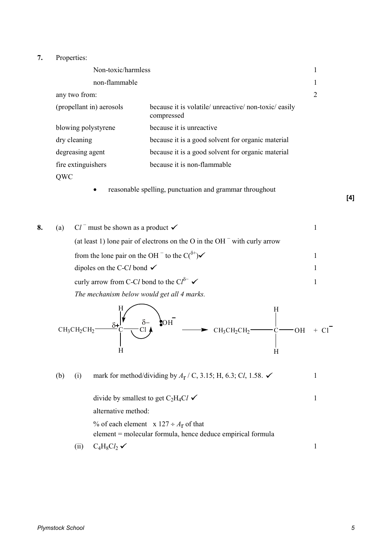## **7.** Properties:

| Non-toxic/harmless       |                                                                     |    |
|--------------------------|---------------------------------------------------------------------|----|
| non-flammable            |                                                                     | -1 |
| any two from:            |                                                                     | 2  |
| (propellant in) aerosols | because it is volatile/ unreactive/ non-toxic/ easily<br>compressed |    |
| blowing polystyrene      | because it is unreactive                                            |    |
| dry cleaning             | because it is a good solvent for organic material                   |    |
| degreasing agent         | because it is a good solvent for organic material                   |    |
| fire extinguishers       | because it is non-flammable                                         |    |
| QWC                      |                                                                     |    |
|                          |                                                                     |    |

• reasonable spelling, punctuation and grammar throughout

**[4]**